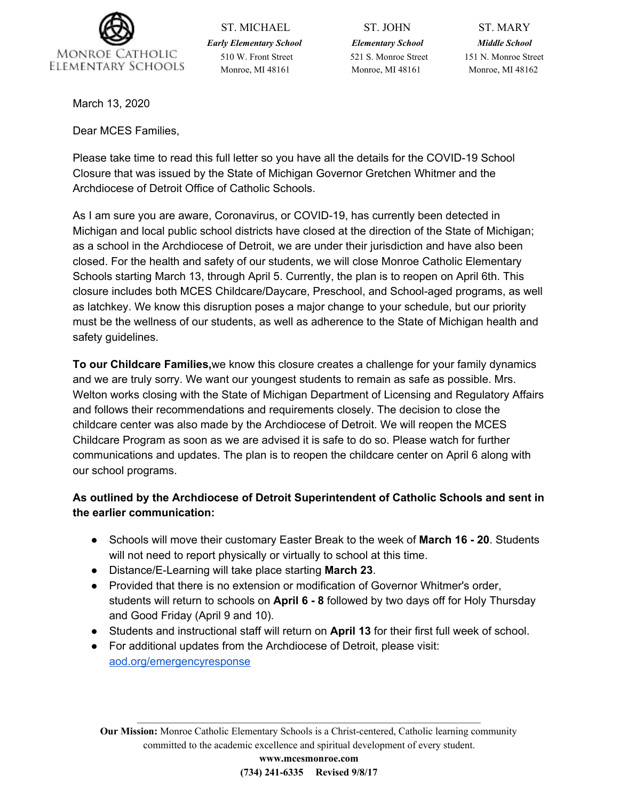

ST. MICHAEL ST. JOHN ST. MARY *Early Elementary School Elementary School Middle School* 510 W. Front Street 521 S. Monroe Street 151 N. Monroe Street Monroe, MI 48161 Monroe, MI 48161 Monroe, MI 48162

March 13, 2020

Dear MCES Families,

Please take time to read this full letter so you have all the details for the COVID-19 School Closure that was issued by the State of Michigan Governor Gretchen Whitmer and the Archdiocese of Detroit Office of Catholic Schools.

As I am sure you are aware, Coronavirus, or COVID-19, has currently been detected in Michigan and local public school districts have closed at the direction of the State of Michigan; as a school in the Archdiocese of Detroit, we are under their jurisdiction and have also been closed. For the health and safety of our students, we will close Monroe Catholic Elementary Schools starting March 13, through April 5. Currently, the plan is to reopen on April 6th. This closure includes both MCES Childcare/Daycare, Preschool, and School-aged programs, as well as latchkey. We know this disruption poses a major change to your schedule, but our priority must be the wellness of our students, as well as adherence to the State of Michigan health and safety guidelines.

**To our Childcare Families,**we know this closure creates a challenge for your family dynamics and we are truly sorry. We want our youngest students to remain as safe as possible. Mrs. Welton works closing with the State of Michigan Department of Licensing and Regulatory Affairs and follows their recommendations and requirements closely. The decision to close the childcare center was also made by the Archdiocese of Detroit. We will reopen the MCES Childcare Program as soon as we are advised it is safe to do so. Please watch for further communications and updates. The plan is to reopen the childcare center on April 6 along with our school programs.

# **As outlined by the Archdiocese of Detroit Superintendent of Catholic Schools and sent in the earlier communication:**

- Schools will move their customary Easter Break to the week of **March 16 - 20**. Students will not need to report physically or virtually to school at this time.
- Distance/E-Learning will take place starting **March 23**.
- Provided that there is no extension or modification of Governor Whitmer's order, students will return to schools on **April 6 - 8** followed by two days off for Holy Thursday and Good Friday (April 9 and 10).
- Students and instructional staff will return on **April 13** for their first full week of school.
- For additional updates from the Archdiocese of Detroit, please visit: [aod.org/emergencyresponse](http://track.spe.schoolmessenger.com/f/a/M1ryCh2adFgh-hm1M_cEhQ~~/AAAAAQA~/RgRgTNtzP4ROAWh0dHA6Ly9yMjAucnM2Lm5ldC90bi5qc3A_Zj0wMDFCNm4tMkNIenlvYVZvNDkyNElFaXVGYTVuZ0hYc21LQkVYMFlSbllSWjA2NGw0SDVTZXg1dGlvcTVCRXUwTlpGNlJyQkJ5MGNBNDdINlB1bkVQNzRXUWZtNnprbS0tVW9xTlJRLTYxT1hnYWVMT3k5T0loZ283OE5VY2hnUmljRVc2cElGdTFlcDBqenE5ZUpvWnllSVlSbW5CNWdkallYeEFwUlhTdGpjX1ZRVkNkRF9MNGVKQT09JmM9WWNQYmdXVVNTbkI1cVZsYTVqcUwyT2dRdm90bE9RT21KUkhlSUdGUF9uakFONEdMVmdGc2NRPT0mY2g9dzdZZklvenhuNHJndlZtdlR6dGEzeEs5MEVmV0pMc0p6NFdIQjNZTUhaWGVDRkl3REVnRDFBPT1XB3NjaG9vbG1CCgAA86drXkVYKDpSH2t1YmlrQG1vbnJvZWNhdGhvbGljc2Nob29scy5jb21YBAAAAAE~)

**Our Mission:** Monroe Catholic Elementary Schools is a Christ-centered, Catholic learning community committed to the academic excellence and spiritual development of every student.

 $\mathcal{L}_\mathcal{L} = \mathcal{L}_\mathcal{L} = \mathcal{L}_\mathcal{L} = \mathcal{L}_\mathcal{L} = \mathcal{L}_\mathcal{L} = \mathcal{L}_\mathcal{L} = \mathcal{L}_\mathcal{L} = \mathcal{L}_\mathcal{L} = \mathcal{L}_\mathcal{L} = \mathcal{L}_\mathcal{L} = \mathcal{L}_\mathcal{L} = \mathcal{L}_\mathcal{L} = \mathcal{L}_\mathcal{L} = \mathcal{L}_\mathcal{L} = \mathcal{L}_\mathcal{L} = \mathcal{L}_\mathcal{L} = \mathcal{L}_\mathcal{L}$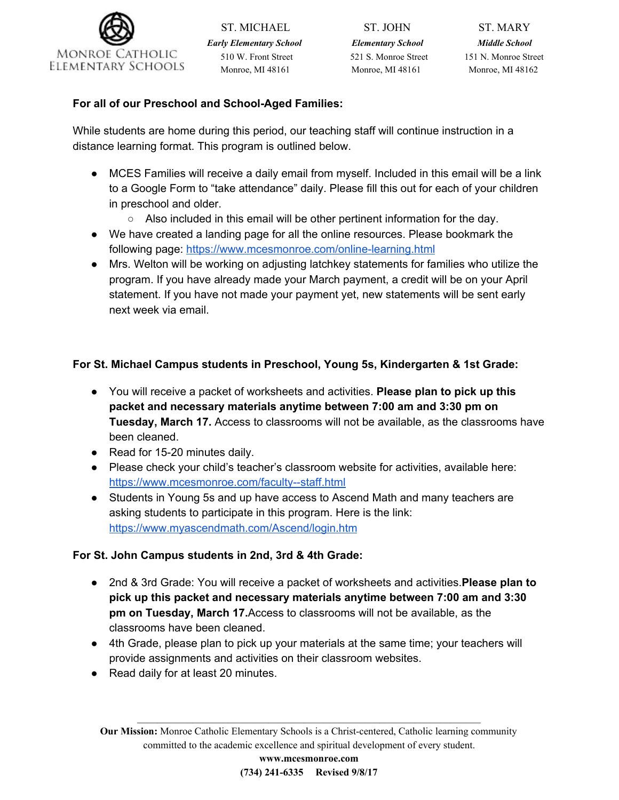

*Early Elementary School Elementary School Middle School* 510 W. Front Street 521 S. Monroe Street 151 N. Monroe Street Monroe, MI 48161 Monroe, MI 48161 Monroe, MI 48162

ST. MICHAEL ST. JOHN ST. MARY

# **For all of our Preschool and School-Aged Families:**

While students are home during this period, our teaching staff will continue instruction in a distance learning format. This program is outlined below.

- MCES Families will receive a daily email from myself. Included in this email will be a link to a Google Form to "take attendance" daily. Please fill this out for each of your children in preschool and older.
	- Also included in this email will be other pertinent information for the day.
- We have created a landing page for all the online resources. Please bookmark the following page: <https://www.mcesmonroe.com/online-learning.html>
- Mrs. Welton will be working on adjusting latchkey statements for families who utilize the program. If you have already made your March payment, a credit will be on your April statement. If you have not made your payment yet, new statements will be sent early next week via email.

# **For St. Michael Campus students in Preschool, Young 5s, Kindergarten & 1st Grade:**

- You will receive a packet of worksheets and activities. **Please plan to pick up this packet and necessary materials anytime between 7:00 am and 3:30 pm on Tuesday, March 17.** Access to classrooms will not be available, as the classrooms have been cleaned.
- Read for 15-20 minutes daily.
- Please check your child's teacher's classroom website for activities, available here: <https://www.mcesmonroe.com/faculty--staff.html>
- Students in Young 5s and up have access to Ascend Math and many teachers are asking students to participate in this program. Here is the link: <https://www.myascendmath.com/Ascend/login.htm>

## **For St. John Campus students in 2nd, 3rd & 4th Grade:**

- 2nd & 3rd Grade: You will receive a packet of worksheets and activities.**Please plan to pick up this packet and necessary materials anytime between 7:00 am and 3:30 pm on Tuesday, March 17.**Access to classrooms will not be available, as the classrooms have been cleaned.
- 4th Grade, please plan to pick up your materials at the same time; your teachers will provide assignments and activities on their classroom websites.
- Read daily for at least 20 minutes.

**Our Mission:** Monroe Catholic Elementary Schools is a Christ-centered, Catholic learning community committed to the academic excellence and spiritual development of every student.

 $\mathcal{L}_\mathcal{L} = \mathcal{L}_\mathcal{L} = \mathcal{L}_\mathcal{L} = \mathcal{L}_\mathcal{L} = \mathcal{L}_\mathcal{L} = \mathcal{L}_\mathcal{L} = \mathcal{L}_\mathcal{L} = \mathcal{L}_\mathcal{L} = \mathcal{L}_\mathcal{L} = \mathcal{L}_\mathcal{L} = \mathcal{L}_\mathcal{L} = \mathcal{L}_\mathcal{L} = \mathcal{L}_\mathcal{L} = \mathcal{L}_\mathcal{L} = \mathcal{L}_\mathcal{L} = \mathcal{L}_\mathcal{L} = \mathcal{L}_\mathcal{L}$ 

**www.mcesmonroe.com (734) 241-6335 Revised 9/8/17**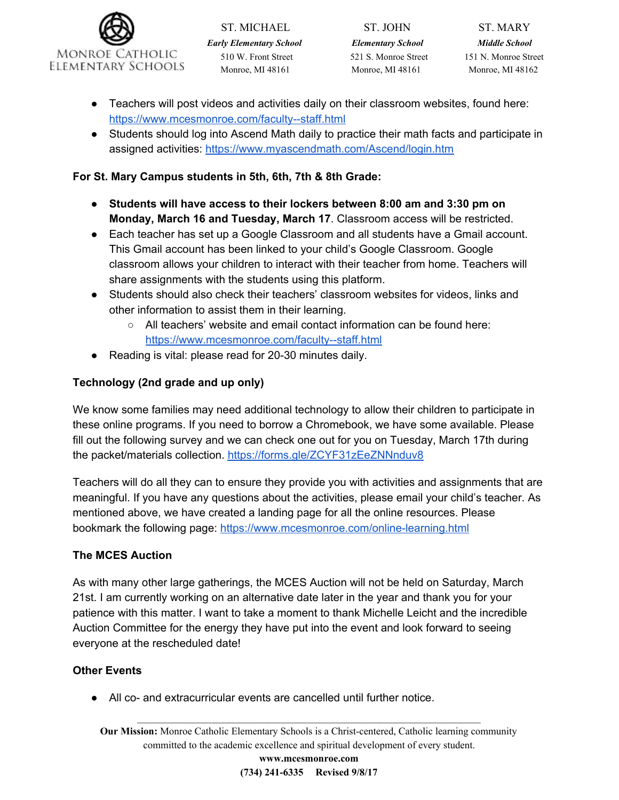

ST. MICHAEL ST. JOHN ST. MARY *Early Elementary School Elementary School Middle School* 510 W. Front Street 521 S. Monroe Street 151 N. Monroe Street Monroe, MI 48161 Monroe, MI 48161 Monroe, MI 48162

- Teachers will post videos and activities daily on their classroom websites, found here: <https://www.mcesmonroe.com/faculty--staff.html>
- Students should log into Ascend Math daily to practice their math facts and participate in assigned activities: <https://www.myascendmath.com/Ascend/login.htm>

### **For St. Mary Campus students in 5th, 6th, 7th & 8th Grade:**

- **Students will have access to their lockers between 8:00 am and 3:30 pm on Monday, March 16 and Tuesday, March 17**. Classroom access will be restricted.
- Each teacher has set up a Google Classroom and all students have a Gmail account. This Gmail account has been linked to your child's Google Classroom. Google classroom allows your children to interact with their teacher from home. Teachers will share assignments with the students using this platform.
- Students should also check their teachers' classroom websites for videos, links and other information to assist them in their learning.
	- All teachers' website and email contact information can be found here: <https://www.mcesmonroe.com/faculty--staff.html>
- Reading is vital: please read for 20-30 minutes daily.

# **Technology (2nd grade and up only)**

We know some families may need additional technology to allow their children to participate in these online programs. If you need to borrow a Chromebook, we have some available. Please fill out the following survey and we can check one out for you on Tuesday, March 17th during the packet/materials collection. <https://forms.gle/ZCYF31zEeZNNnduv8>

Teachers will do all they can to ensure they provide you with activities and assignments that are meaningful. If you have any questions about the activities, please email your child's teacher. As mentioned above, we have created a landing page for all the online resources. Please bookmark the following page: <https://www.mcesmonroe.com/online-learning.html>

## **The MCES Auction**

As with many other large gatherings, the MCES Auction will not be held on Saturday, March 21st. I am currently working on an alternative date later in the year and thank you for your patience with this matter. I want to take a moment to thank Michelle Leicht and the incredible Auction Committee for the energy they have put into the event and look forward to seeing everyone at the rescheduled date!

#### **Other Events**

● All co- and extracurricular events are cancelled until further notice.

**Our Mission:** Monroe Catholic Elementary Schools is a Christ-centered, Catholic learning community committed to the academic excellence and spiritual development of every student.

 $\mathcal{L}_\mathcal{L} = \mathcal{L}_\mathcal{L} = \mathcal{L}_\mathcal{L} = \mathcal{L}_\mathcal{L} = \mathcal{L}_\mathcal{L} = \mathcal{L}_\mathcal{L} = \mathcal{L}_\mathcal{L} = \mathcal{L}_\mathcal{L} = \mathcal{L}_\mathcal{L} = \mathcal{L}_\mathcal{L} = \mathcal{L}_\mathcal{L} = \mathcal{L}_\mathcal{L} = \mathcal{L}_\mathcal{L} = \mathcal{L}_\mathcal{L} = \mathcal{L}_\mathcal{L} = \mathcal{L}_\mathcal{L} = \mathcal{L}_\mathcal{L}$